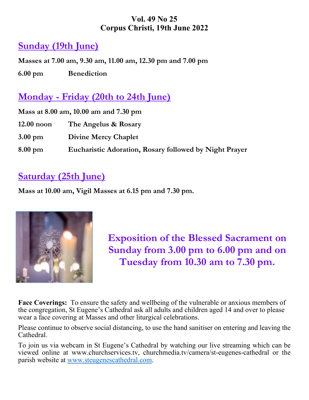### **Vol. 49 No 25 Corpus Christi, 19th June 2022**

## **Sunday (19th June)**

**Masses at 7.00 am, 9.30 am, 11.00 am, 12.30 pm and 7.00 pm 6.00 pm Benediction** 

## **Monday - Friday (20th to 24th June)**

| Mass at 8.00 am, 10.00 am and 7.30 pm |                                                               |  |
|---------------------------------------|---------------------------------------------------------------|--|
| $12.00$ noon                          | The Angelus & Rosary                                          |  |
| $3.00 \text{ pm}$                     | <b>Divine Mercy Chaplet</b>                                   |  |
| $8.00 \text{ pm}$                     | <b>Eucharistic Adoration, Rosary followed by Night Prayer</b> |  |

# **Saturday (25th June)**

**Mass at 10.00 am, Vigil Masses at 6.15 pm and 7.30 pm.** 



**Exposition of the Blessed Sacrament on Sunday from 3.00 pm to 6.00 pm and on Tuesday from 10.30 am to 7.30 pm.** 

**Face Coverings:** To ensure the safety and wellbeing of the vulnerable or anxious members of the congregation, St Eugene's Cathedral ask all adults and children aged 14 and over to please wear a face covering at Masses and other liturgical celebrations.

Please continue to observe social distancing, to use the hand sanitiser on entering and leaving the Cathedral.

To join us via webcam in St Eugene's Cathedral by watching our live streaming which can be viewed online at www.churchservices.tv, churchmedia.tv/camera/st-eugenes-cathedral or the parish website at www.steugenescathedral.com.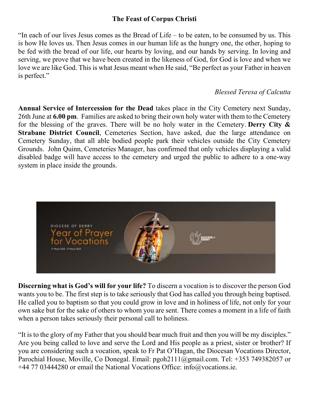### **The Feast of Corpus Christi**

"In each of our lives Jesus comes as the Bread of Life – to be eaten, to be consumed by us. This is how He loves us. Then Jesus comes in our human life as the hungry one, the other, hoping to be fed with the bread of our life, our hearts by loving, and our hands by serving. In loving and serving, we prove that we have been created in the likeness of God, for God is love and when we love we are like God. This is what Jesus meant when He said, "Be perfect as your Father in heaven is perfect."

#### *Blessed Teresa of Calcutta*

**Annual Service of Intercession for the Dead** takes place in the City Cemetery next Sunday, 26th June at **6.00 pm**. Families are asked to bring their own holy water with them to the Cemetery for the blessing of the graves. There will be no holy water in the Cemetery. **Derry City & Strabane District Council**, Cemeteries Section, have asked, due the large attendance on Cemetery Sunday, that all able bodied people park their vehicles outside the City Cemetery Grounds. John Quinn, Cemeteries Manager, has confirmed that only vehicles displaying a valid disabled badge will have access to the cemetery and urged the public to adhere to a one-way system in place inside the grounds.



**Discerning what is God's will for your life?** To discern a vocation is to discover the person God wants you to be. The first step is to take seriously that God has called you through being baptised. He called you to baptism so that you could grow in love and in holiness of life, not only for your own sake but for the sake of others to whom you are sent. There comes a moment in a life of faith when a person takes seriously their personal call to holiness.

"It is to the glory of my Father that you should bear much fruit and then you will be my disciples." Are you being called to love and serve the Lord and His people as a priest, sister or brother? If you are considering such a vocation, speak to Fr Pat O'Hagan, the Diocesan Vocations Director, Parochial House, Moville, Co Donegal. Email: pgoh2111@gmail.com. Tel: +353 749382057 or +44 77 03444280 or email the National Vocations Office: info@vocations.ie.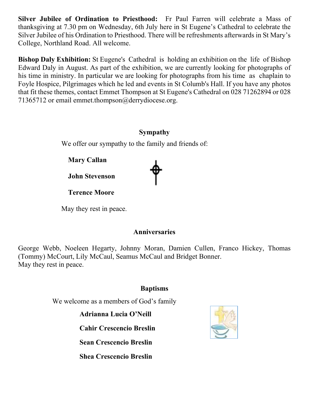**Silver Jubilee of Ordination to Priesthood:** Fr Paul Farren will celebrate a Mass of thanksgiving at 7.30 pm on Wednesday, 6th July here in St Eugene's Cathedral to celebrate the Silver Jubilee of his Ordination to Priesthood. There will be refreshments afterwards in St Mary's College, Northland Road. All welcome.

**Bishop Daly Exhibition:** St Eugene's Cathedral is holding an exhibition on the life of Bishop Edward Daly in August. As part of the exhibition, we are currently looking for photographs of his time in ministry. In particular we are looking for photographs from his time as chaplain to Foyle Hospice, Pilgrimages which he led and events in St Columb's Hall. If you have any photos that fit these themes, contact Emmet Thompson at St Eugene's Cathedral on 028 71262894 or 028 71365712 or email emmet.thompson@derrydiocese.org.

#### **Sympathy**

We offer our sympathy to the family and friends of:

 **Mary Callan** 

 **John Stevenson** 

 **Terence Moore** 

May they rest in peace.

### **Anniversaries**

George Webb, Noeleen Hegarty, Johnny Moran, Damien Cullen, Franco Hickey, Thomas (Tommy) McCourt, Lily McCaul, Seamus McCaul and Bridget Bonner. May they rest in peace.

### **Baptisms**

We welcome as a members of God's family

**Adrianna Lucia O'Neill** 

**Cahir Crescencio Breslin** 

**Sean Crescencio Breslin** 

**Shea Crescencio Breslin** 

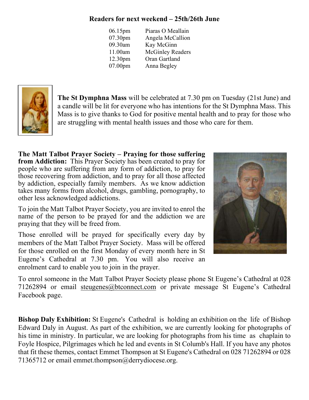### **Readers for next weekend – 25th/26th June**

| Piaras O Meallain       |
|-------------------------|
| Angela McCallion        |
|                         |
| <b>McGinley Readers</b> |
|                         |
|                         |
|                         |



**The St Dymphna Mass** will be celebrated at 7.30 pm on Tuesday (21st June) and a candle will be lit for everyone who has intentions for the St Dymphna Mass. This Mass is to give thanks to God for positive mental health and to pray for those who are struggling with mental health issues and those who care for them.

**The Matt Talbot Prayer Society – Praying for those suffering from Addiction:** This Prayer Society has been created to pray for people who are suffering from any form of addiction, to pray for those recovering from addiction, and to pray for all those affected by addiction, especially family members. As we know addiction takes many forms from alcohol, drugs, gambling, pornography, to other less acknowledged addictions.

To join the Matt Talbot Prayer Society, you are invited to enrol the name of the person to be prayed for and the addiction we are praying that they will be freed from.

Those enrolled will be prayed for specifically every day by members of the Matt Talbot Prayer Society. Mass will be offered for those enrolled on the first Monday of every month here in St Eugene's Cathedral at 7.30 pm. You will also receive an enrolment card to enable you to join in the prayer.



To enrol someone in the Matt Talbot Prayer Society please phone St Eugene's Cathedral at 028 71262894 or email steugenes@btconnect.com or private message St Eugene's Cathedral Facebook page.

**Bishop Daly Exhibition:** St Eugene's Cathedral is holding an exhibition on the life of Bishop Edward Daly in August. As part of the exhibition, we are currently looking for photographs of his time in ministry. In particular, we are looking for photographs from his time as chaplain to Foyle Hospice, Pilgrimages which he led and events in St Columb's Hall. If you have any photos that fit these themes, contact Emmet Thompson at St Eugene's Cathedral on 028 71262894 or 028 71365712 or email emmet.thompson@derrydiocese.org.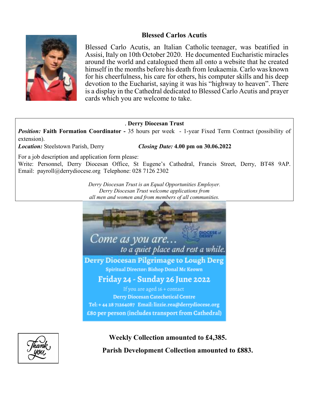#### **Blessed Carlos Acutis**



Blessed Carlo Acutis, an Italian Catholic teenager, was beatified in Assisi, Italy on 10th October 2020. He documented Eucharistic miracles around the world and catalogued them all onto a website that he created himself in the months before his death from leukaemia. Carlo was known for his cheerfulness, his care for others, his computer skills and his deep devotion to the Eucharist, saying it was his "highway to heaven". There is a display in the Cathedral dedicated to Blessed Carlo Acutis and prayer cards which you are welcome to take.

#### . **Derry Diocesan Trust**

**Position: Faith Formation Coordinator - 35 hours per week - 1-year Fixed Term Contract (possibility of** extension).

*Location:* Steelstown Parish, Derry *Closing Date:* **4.00 pm on 30.06.2022** 

For a job description and application form please:

Write: Personnel, Derry Diocesan Office, St Eugene's Cathedral, Francis Street, Derry, BT48 9AP. Email: payroll@derrydiocese.org Telephone: 028 7126 2302

> *Derry Diocesan Trust is an Equal Opportunities Employer. Derry Diocesan Trust welcome applications from all men and women and from members of all communities.*





 **Weekly Collection amounted to £4,385. Parish Development Collection amounted to £883.**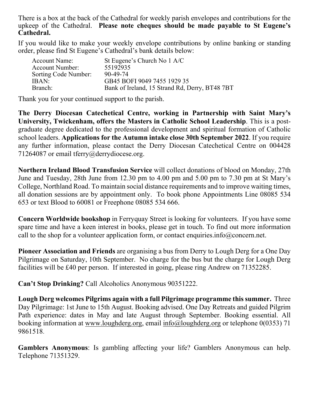There is a box at the back of the Cathedral for weekly parish envelopes and contributions for the upkeep of the Cathedral. **Please note cheques should be made payable to St Eugene's Cathedral.** 

If you would like to make your weekly envelope contributions by online banking or standing order, please find St Eugene's Cathedral's bank details below:

| <b>Account Name:</b> | St Eugene's Church No 1 A/C                    |
|----------------------|------------------------------------------------|
| Account Number:      | 55192935                                       |
| Sorting Code Number: | 90-49-74                                       |
| IBAN:                | GB45 BOFI 9049 7455 1929 35                    |
| Branch:              | Bank of Ireland, 15 Strand Rd, Derry, BT48 7BT |

Thank you for your continued support to the parish.

**The Derry Diocesan Catechetical Centre, working in Partnership with Saint Mary's University, Twickenham, offers the Masters in Catholic School Leadership**. This is a postgraduate degree dedicated to the professional development and spiritual formation of Catholic school leaders. **Applications for the Autumn intake close 30th September 2022**. If you require any further information, please contact the Derry Diocesan Catechetical Centre on 004428 71264087 or email tferry@derrydiocese.org.

**Northern Ireland Blood Transfusion Service** will collect donations of blood on Monday, 27th June and Tuesday, 28th June from 12.30 pm to 4.00 pm and 5.00 pm to 7.30 pm at St Mary's College, Northland Road. To maintain social distance requirements and to improve waiting times, all donation sessions are by appointment only. To book phone Appointments Line 08085 534 653 or text Blood to 60081 or Freephone 08085 534 666.

**Concern Worldwide bookshop** in Ferryquay Street is looking for volunteers. If you have some spare time and have a keen interest in books, please get in touch. To find out more information call to the shop for a volunteer application form, or contact enquiries.info@concern.net.

**Pioneer Association and Friends** are organising a bus from Derry to Lough Derg for a One Day Pilgrimage on Saturday, 10th September. No charge for the bus but the charge for Lough Derg facilities will be £40 per person. If interested in going, please ring Andrew on 71352285.

**Can't Stop Drinking?** Call Alcoholics Anonymous 90351222.

**Lough Derg welcomes Pilgrims again with a full Pilgrimage programme this summer.** Three Day Pilgrimage: 1st June to 15th August. Booking advised. One Day Retreats and guided Pilgrim Path experience: dates in May and late August through September. Booking essential. All booking information at www.loughderg.org, email info@loughderg.org or telephone 0(0353) 71 9861518.

**Gamblers Anonymous**: Is gambling affecting your life? Gamblers Anonymous can help. Telephone 71351329.